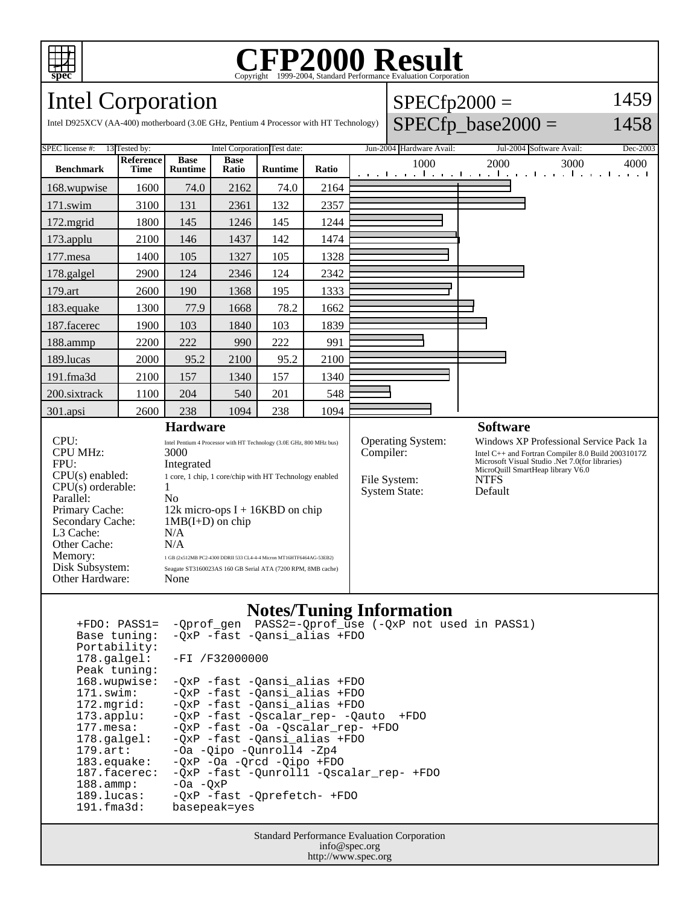

## **CFP2000 Result** Copyright ©1999-2004, Standard Performance Evaluati

#### Intel Corporation Intel D925XCV (AA-400) motherboard (3.0E GHz, Pentium 4 Processor with HT Technology)  $SPECfp2000 =$  $SPECfp\_base2000 =$ 1459 1458 SPEC license #: 13 Tested by: Intel Corporation Test date: Jun-2004 Hardware Avail: Jul-2004 Software Avail: Dec-2003 **Benchmark Reference Time Base Runtime Base Ratio Runtime Ratio** 1000 2000 3000 4000 168.wupwise 1600 74.0 2162 74.0 2164 171.swim | 3100 | 131 | 2361 | 132 | 2357 172.mgrid | 1800 | 145 | 1246 | 145 | 1244 173.applu | 2100 | 146 | 1437 | 142 | 1474 177. mesa 1400 105 1327 105 1328 178.galgel | 2900 | 124 | 2346 | 124 | 2342 179.art 2600 190 1368 195 1333 183.equake 1300 77.9 1668 78.2 1662 187.facerec | 1900 | 103 | 1840 | 103 | 1839 188.ammp | 2200 | 222 | 990 | 222 | 991 189.lucas | 2000 | 95.2 | 2100 | 95.2 | 2100 191.fma3d 2100 157 1340 157 1340 200.sixtrack 1100 204 540 201 548 301.apsi 2600 238 1094 238 1094 **Hardware** CPU: Intel Pentium 4 Processor with HT Technology (3.0E GHz, 800 MHz bus)<br>CPU MHz:  $3000$ CPU MHz: FPU: Integrated<br>CPU(s) enabled: 1 core, 1 chip, 1 core, 1 chip, 1 core/chip with HT Technology enabled  $CPU(s)$  orderable:  $1$ Parallel: No<br>Primary Cache: 12k 12k micro-ops  $I + 16KBD$  on chip Secondary Cache: 1MB(I+D) on chip L3 Cache: N/A<br>Other Cache: N/A Other Cache:<br>Memory: Memory: 1 GB (2x512MB PC2-4300 DDRII 533 CL4-4-4 Micron MT16HTF6464AG-53EB2) Disk Subsystem: Seagate ST3160023AS 160 GB Serial ATA (7200 RPM, 8MB cache)<br>Other Hardware: None Other Hardware: **Software** Operating System: Windows XP Professional Service Pack 1a Compiler: Intel C++ and Fortran Compiler 8.0 Build 20031017Z Intel C++ and Fortran Compiler 8.0 Build 20031017Z Microsoft Visual Studio .Net 7.0(for libraries) MicroQuill SmartHeap library V6.0 File System: NTFS System State: Default

## **Notes/Tuning Information**

| $+FDO: PASS1=$        | -Qprof_gen PASS2=-Qprof_use (-QxP not used in PASS1) |
|-----------------------|------------------------------------------------------|
| Base tuning:          | -OxP -fast -Qansi_alias +FDO                         |
| Portability:          |                                                      |
| 178.galgel:           | -FI /F32000000                                       |
| Peak tuning:          |                                                      |
| 168.wupwise:          | -OxP -fast -Oansi alias +FDO                         |
| $171$ .swim:          | -OxP -fast -Qansi_alias +FDO                         |
| $172.\text{mgrid}:$   | -OxP -fast -Oansi alias +FDO                         |
| $173.\text{applu}:$   | -QxP -fast -Qscalar rep- -Qauto<br>+FDO              |
| $177.\text{mesa}$ :   | -OxP -fast -Oa -Oscalar rep- +FDO                    |
| $178.\text{qalgel}$ : | -OxP -fast -Oansi alias +FDO                         |
| $179.\text{art}$ :    | -Oa -Qipo -Qunroll4 -Zp4                             |
| $183$ .equake:        | $-OXP -Oa -Orcd -Oipo +FDO$                          |
| 187.facerec:          | -OxP -fast -Ounroll1 -Oscalar rep- +FDO              |
| $188.\text{amm.}$     | $-0a -0xP$                                           |
| 189.lucas:            | -OxP -fast -Oprefetch- +FDO                          |
| $191.f$ ma $3d$ :     | basepeak=yes                                         |

Standard Performance Evaluation Corporation info@spec.org http://www.spec.org